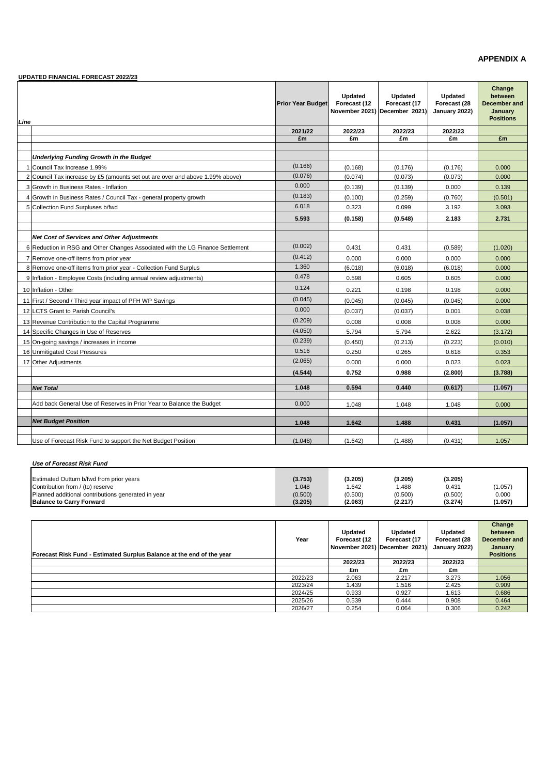### **APPENDIX A**

|      | UPDATED FINANCIAL FORECAST 2022/23                                             |                          |                         |                                                          |                                          |                                                                  |
|------|--------------------------------------------------------------------------------|--------------------------|-------------------------|----------------------------------------------------------|------------------------------------------|------------------------------------------------------------------|
| Line |                                                                                | <b>Prior Year Budget</b> | Updated<br>Forecast (12 | Updated<br>Forecast (17<br>November 2021) December 2021) | Updated<br>Forecast (28<br>January 2022) | Change<br>between<br>December and<br>January<br><b>Positions</b> |
|      |                                                                                | 2021/22                  | 2022/23                 | 2022/23                                                  | 2022/23                                  |                                                                  |
|      |                                                                                | £m                       | £m                      | £m                                                       | £m                                       | £m                                                               |
|      |                                                                                |                          |                         |                                                          |                                          |                                                                  |
|      | Underlying Funding Growth in the Budget                                        |                          |                         |                                                          |                                          |                                                                  |
|      | Council Tax Increase 1.99%                                                     | (0.166)                  | (0.168)                 | (0.176)                                                  | (0.176)                                  | 0.000                                                            |
|      | 2 Council Tax increase by £5 (amounts set out are over and above 1.99% above)  | (0.076)                  | (0.074)                 | (0.073)                                                  | (0.073)                                  | 0.000                                                            |
|      | 3 Growth in Business Rates - Inflation                                         | 0.000                    | (0.139)                 | (0.139)                                                  | 0.000                                    | 0.139                                                            |
|      | 4 Growth in Business Rates / Council Tax - general property growth             | (0.183)                  | (0.100)                 | (0.259)                                                  | (0.760)                                  | (0.501)                                                          |
|      | 5 Collection Fund Surpluses b/fwd                                              | 6.018                    | 0.323                   | 0.099                                                    | 3.192                                    | 3.093                                                            |
|      |                                                                                | 5.593                    | (0.158)                 | (0.548)                                                  | 2.183                                    | 2.731                                                            |
|      |                                                                                |                          |                         |                                                          |                                          |                                                                  |
|      | <b>Net Cost of Services and Other Adiustments</b>                              | (0.002)                  |                         |                                                          |                                          |                                                                  |
|      | 6 Reduction in RSG and Other Changes Associated with the LG Finance Settlement |                          | 0.431                   | 0.431                                                    | (0.589)                                  | (1.020)                                                          |
|      | 7 Remove one-off items from prior year                                         | (0.412)<br>1.360         | 0.000                   | 0.000                                                    | 0.000                                    | 0.000                                                            |
|      | 8 Remove one-off items from prior year - Collection Fund Surplus               |                          | (6.018)                 | (6.018)                                                  | (6.018)                                  | 0.000                                                            |
|      | 9 Inflation - Employee Costs (including annual review adjustments)             | 0.478                    | 0.598                   | 0.605                                                    | 0.605                                    | 0.000                                                            |
|      | 10 Inflation - Other                                                           | 0.124                    | 0.221                   | 0.198                                                    | 0.198                                    | 0.000                                                            |
|      | 11 First / Second / Third year impact of PFH WP Savings                        | (0.045)                  | (0.045)                 | (0.045)                                                  | (0.045)                                  | 0.000                                                            |
|      | 12 LCTS Grant to Parish Council's                                              | 0.000                    | (0.037)                 | (0.037)                                                  | 0.001                                    | 0.038                                                            |
|      | 13 Revenue Contribution to the Capital Programme                               | (0.209)                  | 0.008                   | 0.008                                                    | 0.008                                    | 0.000                                                            |
|      | 14 Specific Changes in Use of Reserves                                         | (4.050)                  | 5.794                   | 5.794                                                    | 2.622                                    | (3.172)                                                          |
|      | 15 On-going savings / increases in income                                      | (0.239)                  | (0.450)                 | (0.213)                                                  | (0.223)                                  | (0.010)                                                          |
|      | 16 Unmitigated Cost Pressures                                                  | 0.516                    | 0.250                   | 0.265                                                    | 0.618                                    | 0.353                                                            |
|      | 17 Other Adjustments                                                           | (2.065)                  | 0.000                   | 0.000                                                    | 0.023                                    | 0.023                                                            |
|      |                                                                                | (4.544)                  | 0.752                   | 0.988                                                    | (2.800)                                  | (3.788)                                                          |
|      | <b>Net Total</b>                                                               | 1.048                    | 0.594                   | 0.440                                                    | (0.617)                                  | (1.057)                                                          |
|      |                                                                                |                          |                         |                                                          |                                          |                                                                  |
|      | Add back General Use of Reserves in Prior Year to Balance the Budget           | 0.000                    | 1.048                   | 1.048                                                    | 1.048                                    | 0.000                                                            |
|      |                                                                                |                          |                         |                                                          |                                          |                                                                  |
|      | <b>Net Budget Position</b>                                                     | 1.048                    | 1.642                   | 1.488                                                    | 0.431                                    | (1.057)                                                          |
|      | Use of Forecast Risk Fund to support the Net Budget Position                   | (1.048)                  | (1.642)                 | (1.488)                                                  | (0.431)                                  | 1.057                                                            |

### *Use of Forecast Risk Fund*

| Estimated Outturn b/fwd from prior years           | (3.753) | (3.205) | (3.205) | (3.205) |         |
|----------------------------------------------------|---------|---------|---------|---------|---------|
| Contribution from / (to) reserve                   | 1.048   | .642    | .488    | 0.431   | (1.057) |
| Planned additional contributions generated in year | (0.500) | (0.500) | (0.500) | (0.500) | 0.000   |
| <b>Balance to Carry Forward</b>                    | (3.205) | (2.063) | (2.217) | (3.274) | (1.057) |

| Forecast Risk Fund - Estimated Surplus Balance at the end of the year | Year    | Updated<br>Forecast (12 | Updated<br>Forecast (17<br>November 2021) December 2021) | Updated<br>Forecast (28<br>January 2022) | Change<br>between<br>December and<br>January<br><b>Positions</b> |
|-----------------------------------------------------------------------|---------|-------------------------|----------------------------------------------------------|------------------------------------------|------------------------------------------------------------------|
|                                                                       |         | 2022/23                 | 2022/23                                                  | 2022/23                                  |                                                                  |
|                                                                       |         | £m                      | £m                                                       | £m                                       |                                                                  |
|                                                                       | 2022/23 | 2.063                   | 2.217                                                    | 3.273                                    | 1.056                                                            |
|                                                                       | 2023/24 | 1.439                   | 1.516                                                    | 2.425                                    | 0.909                                                            |
|                                                                       | 2024/25 | 0.933                   | 0.927                                                    | .613                                     | 0.686                                                            |
|                                                                       | 2025/26 | 0.539                   | 0.444                                                    | 0.908                                    | 0.464                                                            |
|                                                                       | 2026/27 | 0.254                   | 0.064                                                    | 0.306                                    | 0.242                                                            |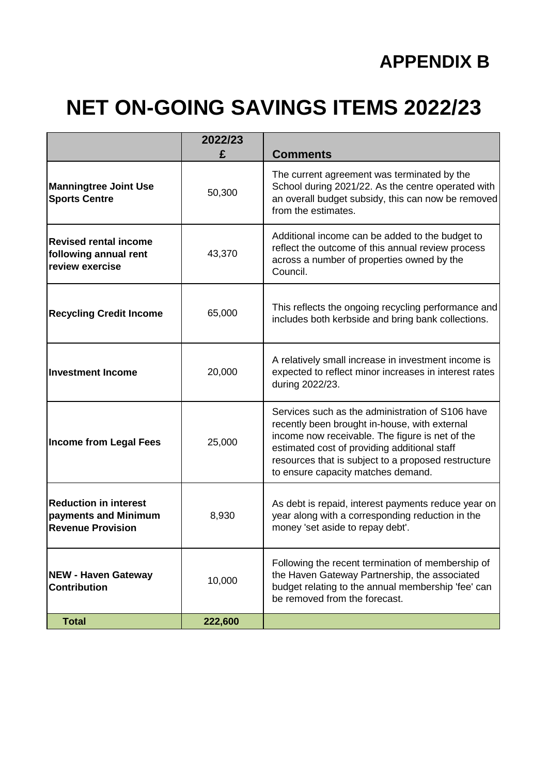# **NET ON-GOING SAVINGS ITEMS 2022/23**

|                                                                                  | 2022/23<br>£ | <b>Comments</b>                                                                                                                                                                                                                                                                                   |
|----------------------------------------------------------------------------------|--------------|---------------------------------------------------------------------------------------------------------------------------------------------------------------------------------------------------------------------------------------------------------------------------------------------------|
| <b>Manningtree Joint Use</b><br><b>Sports Centre</b>                             | 50,300       | The current agreement was terminated by the<br>School during 2021/22. As the centre operated with<br>an overall budget subsidy, this can now be removed<br>from the estimates.                                                                                                                    |
| <b>Revised rental income</b><br>following annual rent<br>review exercise         | 43,370       | Additional income can be added to the budget to<br>reflect the outcome of this annual review process<br>across a number of properties owned by the<br>Council.                                                                                                                                    |
| <b>Recycling Credit Income</b>                                                   | 65,000       | This reflects the ongoing recycling performance and<br>includes both kerbside and bring bank collections.                                                                                                                                                                                         |
| <b>Investment Income</b>                                                         | 20,000       | A relatively small increase in investment income is<br>expected to reflect minor increases in interest rates<br>during 2022/23.                                                                                                                                                                   |
| <b>Income from Legal Fees</b>                                                    | 25,000       | Services such as the administration of S106 have<br>recently been brought in-house, with external<br>income now receivable. The figure is net of the<br>estimated cost of providing additional staff<br>resources that is subject to a proposed restructure<br>to ensure capacity matches demand. |
| <b>Reduction in interest</b><br>payments and Minimum<br><b>Revenue Provision</b> | 8,930        | As debt is repaid, interest payments reduce year on<br>year along with a corresponding reduction in the<br>money 'set aside to repay debt'.                                                                                                                                                       |
| <b>NEW - Haven Gateway</b><br><b>Contribution</b>                                | 10,000       | Following the recent termination of membership of<br>the Haven Gateway Partnership, the associated<br>budget relating to the annual membership 'fee' can<br>be removed from the forecast.                                                                                                         |
| <b>Total</b>                                                                     | 222,600      |                                                                                                                                                                                                                                                                                                   |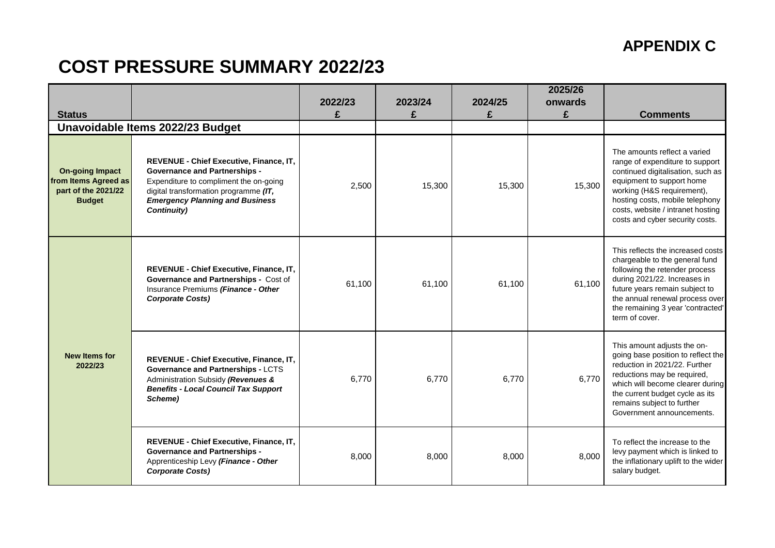### **APPENDIX C**

## **COST PRESSURE SUMMARY 2022/23**

| <b>Status</b>                                                                          |                                                                                                                                                                                                                             | 2022/23<br>£ | 2023/24<br>£ | 2024/25<br>£ | 2025/26<br>onwards<br>£ | <b>Comments</b>                                                                                                                                                                                                                                                            |
|----------------------------------------------------------------------------------------|-----------------------------------------------------------------------------------------------------------------------------------------------------------------------------------------------------------------------------|--------------|--------------|--------------|-------------------------|----------------------------------------------------------------------------------------------------------------------------------------------------------------------------------------------------------------------------------------------------------------------------|
|                                                                                        | Unavoidable Items 2022/23 Budget                                                                                                                                                                                            |              |              |              |                         |                                                                                                                                                                                                                                                                            |
| <b>On-going Impact</b><br>from Items Agreed as<br>part of the 2021/22<br><b>Budget</b> | REVENUE - Chief Executive, Finance, IT,<br><b>Governance and Partnerships -</b><br>Expenditure to compliment the on-going<br>digital transformation programme (IT,<br><b>Emergency Planning and Business</b><br>Continuity) | 2,500        | 15,300       | 15,300       | 15,300                  | The amounts reflect a varied<br>range of expenditure to support<br>continued digitalisation, such as<br>equipment to support home<br>working (H&S requirement),<br>hosting costs, mobile telephony<br>costs, website / intranet hosting<br>costs and cyber security costs. |
|                                                                                        | REVENUE - Chief Executive, Finance, IT,<br>Governance and Partnerships - Cost of<br>Insurance Premiums (Finance - Other<br><b>Corporate Costs)</b>                                                                          | 61,100       | 61,100       | 61,100       | 61,100                  | This reflects the increased costs<br>chargeable to the general fund<br>following the retender process<br>during 2021/22. Increases in<br>future years remain subject to<br>the annual renewal process over<br>the remaining 3 year 'contracted'<br>term of cover.          |
| <b>New Items for</b><br>2022/23                                                        | REVENUE - Chief Executive, Finance, IT,<br><b>Governance and Partnerships - LCTS</b><br>Administration Subsidy (Revenues &<br><b>Benefits - Local Council Tax Support</b><br>Scheme)                                        | 6,770        | 6,770        | 6,770        | 6,770                   | This amount adjusts the on-<br>going base position to reflect the<br>reduction in 2021/22. Further<br>reductions may be required,<br>which will become clearer during<br>the current budget cycle as its<br>remains subject to further<br>Government announcements.        |
|                                                                                        | REVENUE - Chief Executive, Finance, IT,<br><b>Governance and Partnerships -</b><br>Apprenticeship Levy (Finance - Other<br><b>Corporate Costs)</b>                                                                          | 8,000        | 8,000        | 8,000        | 8,000                   | To reflect the increase to the<br>levy payment which is linked to<br>the inflationary uplift to the wider<br>salary budget.                                                                                                                                                |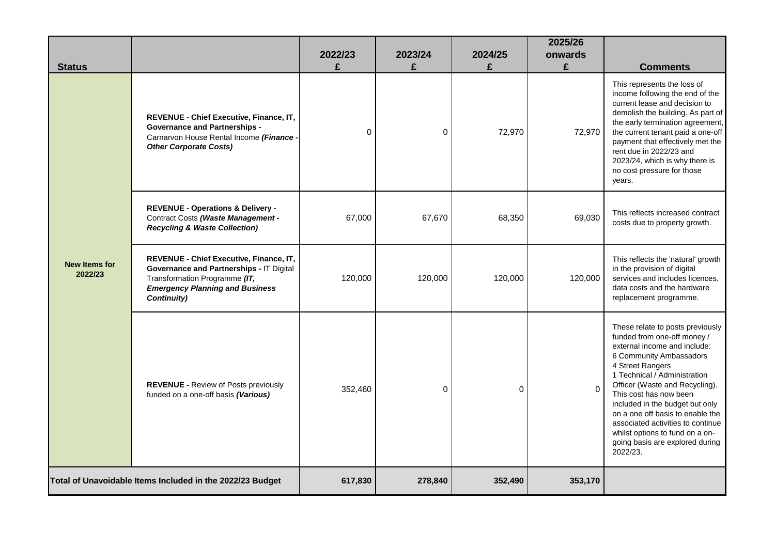| <b>Status</b>                                             |                                                                                                                                                                                      | 2022/23<br>£ | 2023/24<br>£ | 2024/25<br>£ | 2025/26<br>onwards<br>£ | <b>Comments</b>                                                                                                                                                                                                                                                                                                                                                                                                                          |
|-----------------------------------------------------------|--------------------------------------------------------------------------------------------------------------------------------------------------------------------------------------|--------------|--------------|--------------|-------------------------|------------------------------------------------------------------------------------------------------------------------------------------------------------------------------------------------------------------------------------------------------------------------------------------------------------------------------------------------------------------------------------------------------------------------------------------|
|                                                           | REVENUE - Chief Executive, Finance, IT,<br><b>Governance and Partnerships -</b><br>Carnarvon House Rental Income (Finance -<br><b>Other Corporate Costs)</b>                         | $\Omega$     | 0            | 72,970       | 72,970                  | This represents the loss of<br>income following the end of the<br>current lease and decision to<br>demolish the building. As part of<br>the early termination agreement,<br>the current tenant paid a one-off<br>payment that effectively met the<br>rent due in 2022/23 and<br>2023/24, which is why there is<br>no cost pressure for those<br>years.                                                                                   |
|                                                           | <b>REVENUE - Operations &amp; Delivery -</b><br>Contract Costs (Waste Management -<br><b>Recycling &amp; Waste Collection)</b>                                                       | 67,000       | 67,670       | 68,350       | 69,030                  | This reflects increased contract<br>costs due to property growth.                                                                                                                                                                                                                                                                                                                                                                        |
| <b>New Items for</b><br>2022/23                           | <b>REVENUE - Chief Executive, Finance, IT,</b><br>Governance and Partnerships - IT Digital<br>Transformation Programme (IT,<br><b>Emergency Planning and Business</b><br>Continuity) | 120,000      | 120,000      | 120,000      | 120,000                 | This reflects the 'natural' growth<br>in the provision of digital<br>services and includes licences.<br>data costs and the hardware<br>replacement programme.                                                                                                                                                                                                                                                                            |
|                                                           | <b>REVENUE - Review of Posts previously</b><br>funded on a one-off basis (Various)                                                                                                   | 352,460      | 0            | $\Omega$     | $\Omega$                | These relate to posts previously<br>funded from one-off money /<br>external income and include:<br>6 Community Ambassadors<br>4 Street Rangers<br>1 Technical / Administration<br>Officer (Waste and Recycling).<br>This cost has now been<br>included in the budget but only<br>on a one off basis to enable the<br>associated activities to continue<br>whilst options to fund on a on-<br>going basis are explored during<br>2022/23. |
| Total of Unavoidable Items Included in the 2022/23 Budget |                                                                                                                                                                                      | 617,830      | 278,840      | 352,490      | 353,170                 |                                                                                                                                                                                                                                                                                                                                                                                                                                          |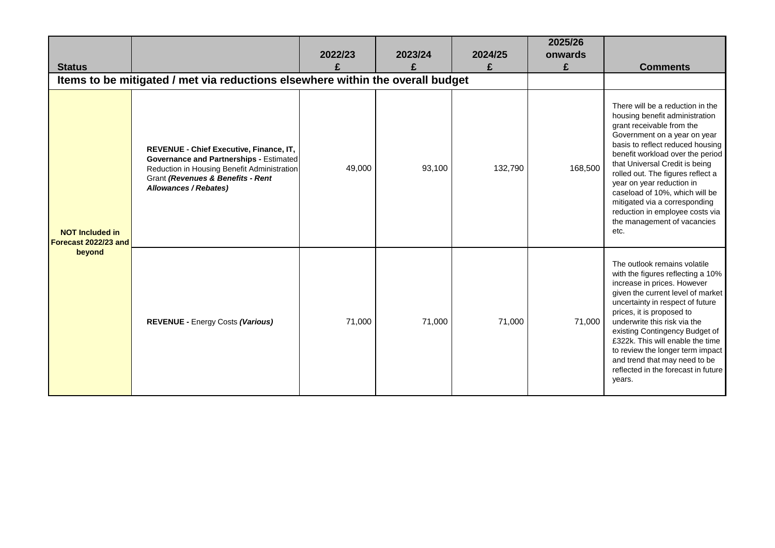| <b>Status</b>                                            | Items to be mitigated / met via reductions elsewhere within the overall budget                                                                                                                         | 2022/23<br>£ | 2023/24<br>£ | 2024/25<br>£ | 2025/26<br>onwards<br>£ | <b>Comments</b>                                                                                                                                                                                                                                                                                                                                                                                                                                          |
|----------------------------------------------------------|--------------------------------------------------------------------------------------------------------------------------------------------------------------------------------------------------------|--------------|--------------|--------------|-------------------------|----------------------------------------------------------------------------------------------------------------------------------------------------------------------------------------------------------------------------------------------------------------------------------------------------------------------------------------------------------------------------------------------------------------------------------------------------------|
| <b>NOT Included in</b><br>Forecast 2022/23 and<br>beyond | REVENUE - Chief Executive, Finance, IT,<br><b>Governance and Partnerships - Estimated</b><br>Reduction in Housing Benefit Administration<br>Grant (Revenues & Benefits - Rent<br>Allowances / Rebates) | 49,000       | 93,100       | 132,790      | 168,500                 | There will be a reduction in the<br>housing benefit administration<br>grant receivable from the<br>Government on a year on year<br>basis to reflect reduced housing<br>benefit workload over the period<br>that Universal Credit is being<br>rolled out. The figures reflect a<br>year on year reduction in<br>caseload of 10%, which will be<br>mitigated via a corresponding<br>reduction in employee costs via<br>the management of vacancies<br>etc. |
|                                                          | <b>REVENUE - Energy Costs (Various)</b>                                                                                                                                                                | 71,000       | 71,000       | 71,000       | 71,000                  | The outlook remains volatile<br>with the figures reflecting a 10%<br>increase in prices. However<br>given the current level of market<br>uncertainty in respect of future<br>prices, it is proposed to<br>underwrite this risk via the<br>existing Contingency Budget of<br>£322k. This will enable the time<br>to review the longer term impact<br>and trend that may need to be<br>reflected in the forecast in future<br>years.                       |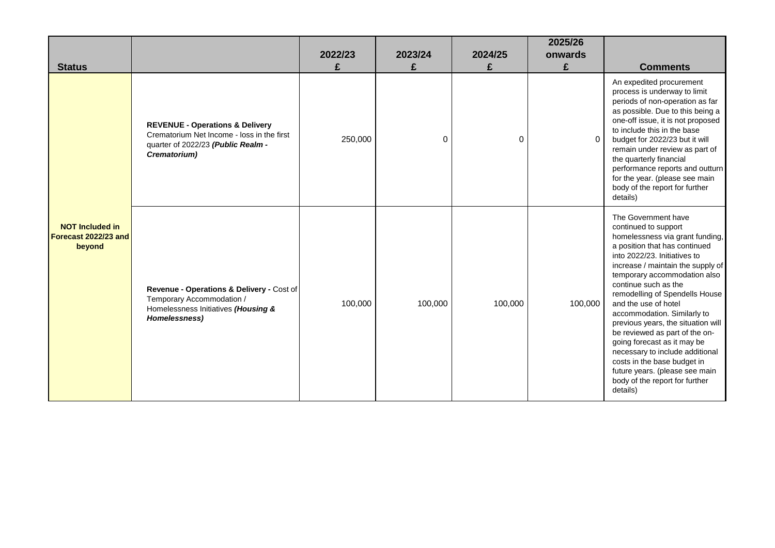| <b>Status</b>                                            |                                                                                                                                                | 2022/23<br>£ | 2023/24<br>£ | 2024/25 | 2025/26<br>onwards<br>£ | <b>Comments</b>                                                                                                                                                                                                                                                                                                                                                                                                                                                                                                                                                                                |
|----------------------------------------------------------|------------------------------------------------------------------------------------------------------------------------------------------------|--------------|--------------|---------|-------------------------|------------------------------------------------------------------------------------------------------------------------------------------------------------------------------------------------------------------------------------------------------------------------------------------------------------------------------------------------------------------------------------------------------------------------------------------------------------------------------------------------------------------------------------------------------------------------------------------------|
|                                                          | <b>REVENUE - Operations &amp; Delivery</b><br>Crematorium Net Income - loss in the first<br>quarter of 2022/23 (Public Realm -<br>Crematorium) | 250,000      | 0            | 0       | $\Omega$                | An expedited procurement<br>process is underway to limit<br>periods of non-operation as far<br>as possible. Due to this being a<br>one-off issue, it is not proposed<br>to include this in the base<br>budget for 2022/23 but it will<br>remain under review as part of<br>the quarterly financial<br>performance reports and outturn<br>for the year. (please see main<br>body of the report for further<br>details)                                                                                                                                                                          |
| <b>NOT Included in</b><br>Forecast 2022/23 and<br>beyond | Revenue - Operations & Delivery - Cost of<br>Temporary Accommodation /<br>Homelessness Initiatives (Housing &<br>Homelessness)                 | 100,000      | 100,000      | 100,000 | 100,000                 | The Government have<br>continued to support<br>homelessness via grant funding,<br>a position that has continued<br>into 2022/23. Initiatives to<br>increase / maintain the supply of<br>temporary accommodation also<br>continue such as the<br>remodelling of Spendells House<br>and the use of hotel<br>accommodation. Similarly to<br>previous years, the situation will<br>be reviewed as part of the on-<br>going forecast as it may be<br>necessary to include additional<br>costs in the base budget in<br>future years. (please see main<br>body of the report for further<br>details) |